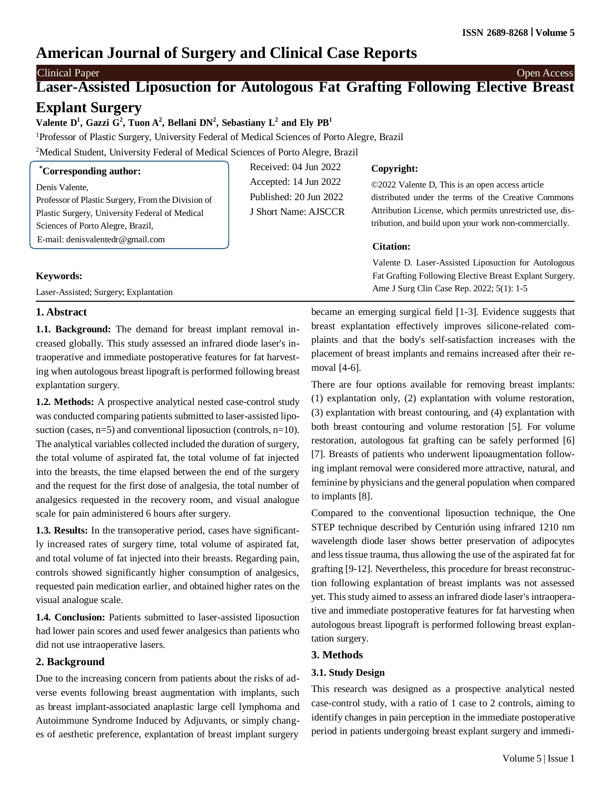# **American Journal of Surgery and Clinical Case Reports**

# Clinical Paper Open Access

# **Laser-Assisted Liposuction for Autologous Fat Grafting Following Elective Breast Explant Surgery**

Valente D<sup>1</sup>, Gazzi G<sup>2</sup>, Tuon A<sup>2</sup>, Bellani DN<sup>2</sup>, Sebastiany L<sup>2</sup> and Ely PB<sup>1</sup>

<sup>1</sup>Professor of Plastic Surgery, University Federal of Medical Sciences of Porto Alegre, Brazil

<sup>2</sup>Medical Student, University Federal of Medical Sciences of Porto Alegre, Brazil

| <i>Corresponding author:</i>                                                        | Received: $04$ Jun $2022$                       | Copyright:                                                                                                         |  |
|-------------------------------------------------------------------------------------|-------------------------------------------------|--------------------------------------------------------------------------------------------------------------------|--|
| Denis Valente.<br>Professor of Plastic Surgery, From the Division of                | Accepted: 14 Jun 2022<br>Published: 20 Jun 2022 | ©2022 Valente D, This is an open access article<br>distributed under the terms of the Creative Commons             |  |
| Plastic Surgery, University Federal of Medical<br>Sciences of Porto Alegre, Brazil, | J Short Name: AJSCCR                            | Attribution License, which permits unrestricted use, dis-<br>tribution, and build upon your work non-commercially. |  |
| E-mail: denisvalentedr@gmail.com                                                    |                                                 | <b>Citation:</b>                                                                                                   |  |
|                                                                                     |                                                 | Valente D. Laser-Assisted Liposuction for Autologous                                                               |  |
| <b>Keywords:</b>                                                                    |                                                 | Fat Grafting Following Elective Breast Explant Surgery.                                                            |  |
| Laser-Assisted; Surgery; Explantation                                               |                                                 | Ame J Surg Clin Case Rep. 2022; 5(1): 1-5                                                                          |  |

# Laser-Assisted; Surgery; Explantation

## **1. Abstract**

**1.1. Background:** The demand for breast implant removal increased globally. This study assessed an infrared diode laser's intraoperative and immediate postoperative features for fat harvesting when autologous breast lipograft is performed following breast explantation surgery.

**1.2. Methods:** A prospective analytical nested case-control study was conducted comparing patients submitted to laser-assisted liposuction (cases,  $n=5$ ) and conventional liposuction (controls,  $n=10$ ). The analytical variables collected included the duration of surgery, the total volume of aspirated fat, the total volume of fat injected into the breasts, the time elapsed between the end of the surgery and the request for the first dose of analgesia, the total number of analgesics requested in the recovery room, and visual analogue scale for pain administered 6 hours after surgery.

**1.3. Results:** In the transoperative period, cases have significantly increased rates of surgery time, total volume of aspirated fat, and total volume of fat injected into their breasts. Regarding pain, controls showed significantly higher consumption of analgesics, requested pain medication earlier, and obtained higher rates on the visual analogue scale.

1.4. **Conclusion:** Patients submitted to laser-assisted liposuction had lower pain scores and used fewer analgesics than patients who did not use intraoperative lasers.

# **2. Background**

Due to the increasing concern from patients about the risks of adverse events following breast augmentation with implants, such as breast implant-associated anaplastic large cell lymphoma and Autoimmune Syndrome Induced by Adjuvants, or simply changes of aesthetic preference, explantation of breast implant surgery

became an emerging surgical field [1-3]. Evidence suggests that breast explantation effectively improves silicone-related complaints and that the body's self-satisfaction increases with the placement of breast implants and remains increased after their removal [4-6].

There are four options available for removing breast implants: (1) explantation only, (2) explantation with volume restoration, (3) explantation with breast contouring, and (4) explantation with both breast contouring and volume restoration [5]. For volume restoration, autologous fat grafting can be safely performed [6] [7]. Breasts of patients who underwent lipoaugmentation following implant removal were considered more attractive, natural, and feminine by physicians and the general population when compared to implants [8].

Compared to the conventional liposuction technique, the One STEP technique described by Centurión using infrared 1210 nm wavelength diode laser shows better preservation of adipocytes and less tissue trauma, thus allowing the use of the aspirated fat for grafting [9-12]. Nevertheless, this procedure for breast reconstruction following explantation of breast implants was not assessed yet. This study aimed to assess an infrared diode laser's intraoperative and immediate postoperative features for fat harvesting when autologous breast lipograft is performed following breast explantation surgery.

## **3. Methods**

# **3.1. Study Design**

This research was designed as a prospective analytical nested case-control study, with a ratio of 1 case to 2 controls, aiming to identify changes in pain perception in the immediate postoperative period in patients undergoing breast explant surgery and immedi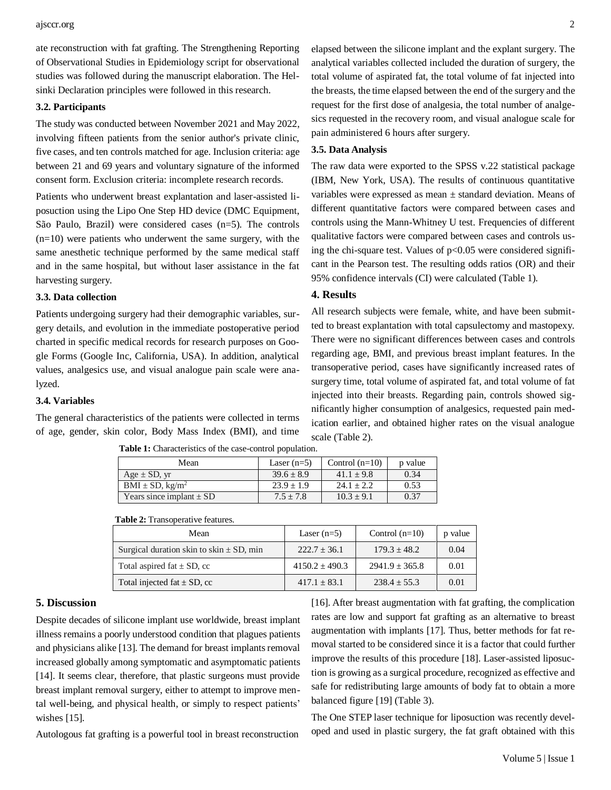ate reconstruction with fat grafting. The Strengthening Reporting of Observational Studies in Epidemiology script for observational studies was followed during the manuscript elaboration. The Helsinki Declaration principles were followed in this research.

### **3.2. Participants**

The study was conducted between November 2021 and May 2022, involving fifteen patients from the senior author's private clinic, five cases, and ten controls matched for age. Inclusion criteria: age between 21 and 69 years and voluntary signature of the informed consent form. Exclusion criteria: incomplete research records.

Patients who underwent breast explantation and laser-assisted liposuction using the Lipo One Step HD device (DMC Equipment, São Paulo, Brazil) were considered cases (n=5). The controls  $(n=10)$  were patients who underwent the same surgery, with the same anesthetic technique performed by the same medical staff and in the same hospital, but without laser assistance in the fat harvesting surgery.

## **3.3. Data collection**

Patients undergoing surgery had their demographic variables, surgery details, and evolution in the immediate postoperative period charted in specific medical records for research purposes on Google Forms (Google Inc, California, USA). In addition, analytical values, analgesics use, and visual analogue pain scale were analyzed.

## **3.4. Variables**

The general characteristics of the patients were collected in terms of age, gender, skin color, Body Mass Index (BMI), and time

**Table 1:** Characteristics of the case-control population.

elapsed between the silicone implant and the explant surgery. The analytical variables collected included the duration of surgery, the total volume of aspirated fat, the total volume of fat injected into the breasts, the time elapsed between the end of the surgery and the request for the first dose of analgesia, the total number of analgesics requested in the recovery room, and visual analogue scale for pain administered 6 hours after surgery.

#### **3.5. Data Analysis**

The raw data were exported to the SPSS v.22 statistical package (IBM, New York, USA). The results of continuous quantitative variables were expressed as mean ± standard deviation. Means of different quantitative factors were compared between cases and controls using the Mann-Whitney U test. Frequencies of different qualitative factors were compared between cases and controls using the chi-square test. Values of  $p<0.05$  were considered significant in the Pearson test. The resulting odds ratios (OR) and their 95% confidence intervals (CI) were calculated (Table 1).

## **4. Results**

All research subjects were female, white, and have been submitted to breast explantation with total capsulectomy and mastopexy. There were no significant differences between cases and controls regarding age, BMI, and previous breast implant features. In the transoperative period, cases have significantly increased rates of surgery time, total volume of aspirated fat, and total volume of fat injected into their breasts. Regarding pain, controls showed significantly higher consumption of analgesics, requested pain medication earlier, and obtained higher rates on the visual analogue scale (Table 2).

| Mean                             | Laser $(n=5)$  | Control $(n=10)$ | p value |
|----------------------------------|----------------|------------------|---------|
| Age $\pm$ SD, yr                 | $39.6 \pm 8.9$ | $41.1 + 9.8$     | 0.34    |
| $BMI \pm SD$ , kg/m <sup>2</sup> | $23.9 + 1.9$   | $24.1 + 2.2$     | 0.53    |
| Years since implant $\pm$ SD     | $7.5 \pm 7.8$  | $10.3 \pm 9.1$   | 0.37    |

### **Table 2:** Transoperative features.

| Mean                                         | Laser $(n=5)$      | Control $(n=10)$   | p value |
|----------------------------------------------|--------------------|--------------------|---------|
| Surgical duration skin to skin $\pm$ SD, min | $222.7 + 36.1$     | $179.3 + 48.2$     | 0.04    |
| Total aspired fat $\pm$ SD, cc               | $4150.2 \pm 490.3$ | $2941.9 \pm 365.8$ | 0.01    |
| Total injected fat $\pm$ SD, cc              | $417.1 \pm 83.1$   | $238.4 + 55.3$     | 0.01    |

#### **5. Discussion**

Despite decades of silicone implant use worldwide, breast implant illness remains a poorly understood condition that plagues patients and physicians alike  $[13]$ . The demand for breast implants removal increased globally among symptomatic and asymptomatic patients [14]. It seems clear, therefore, that plastic surgeons must provide breast implant removal surgery, either to attempt to improve mental well-being, and physical health, or simply to respect patients' wishes [15].

Autologous fat grafting is a powerful tool in breast reconstruction

[16]. After breast augmentation with fat grafting, the complication rates are low and support fat grafting as an alternative to breast augmentation with implants [17]. Thus, better methods for fat removal started to be considered since it is a factor that could further improve the results of this procedure [18]. Laser-assisted liposuction is growing as a surgical procedure, recognized as effective and safe for redistributing large amounts of body fat to obtain a more balanced figure [19] (Table 3).

The One STEP laser technique for liposuction was recently developed and used in plastic surgery, the fat graft obtained with this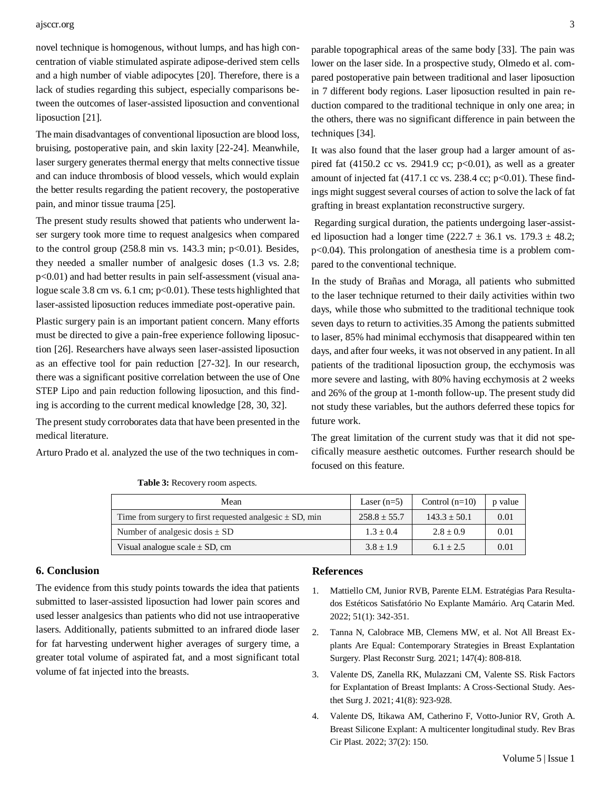### ajsccr.org 3

novel technique is homogenous, without lumps, and has high concentration of viable stimulated aspirate adipose-derived stem cells and a high number of viable adipocytes [20]. Therefore, there is a lack of studies regarding this subject, especially comparisons between the outcomes of laser-assisted liposuction and conventional liposuction [21].

The main disadvantages of conventional liposuction are blood loss, bruising, postoperative pain, and skin laxity [22-24]. Meanwhile, laser surgery generates thermal energy that melts connective tissue and can induce thrombosis of blood vessels, which would explain the better results regarding the patient recovery, the postoperative pain, and minor tissue trauma [25].

The present study results showed that patients who underwent laser surgery took more time to request analgesics when compared to the control group  $(258.8 \text{ min} \text{ vs. } 143.3 \text{ min}; \text{ p} < 0.01)$ . Besides, they needed a smaller number of analgesic doses (1.3 vs. 2.8; p<0.01) and had better results in pain self-assessment (visual analogue scale 3.8 cm vs. 6.1 cm; p<0.01). These tests highlighted that laser-assisted liposuction reduces immediate post-operative pain.

Plastic surgery pain is an important patient concern. Many efforts must be directed to give a pain-free experience following liposuction [26]. Researchers have always seen laser-assisted liposuction as an effective tool for pain reduction [27-32]. In our research, there was a significant positive correlation between the use of One STEP Lipo and pain reduction following liposuction, and this finding is according to the current medical knowledge [28, 30, 32].

The present study corroborates data that have been presented in the medical literature.

Arturo Prado et al. analyzed the use of the two techniques in com-

**Table 3:** Recovery room aspects.

| Mean                                                         | Laser $(n=5)$    | Control $(n=10)$ | p value |
|--------------------------------------------------------------|------------------|------------------|---------|
| Time from surgery to first requested analgesic $\pm$ SD, min | $258.8 \pm 55.7$ | $143.3 + 50.1$   | 0.01    |
| Number of analgesic dosis $\pm$ SD                           | $1.3 + 0.4$      | $2.8 + 0.9$      | 0.01    |
| Visual analogue scale $\pm$ SD, cm                           | $3.8 + 1.9$      | $6.1 + 2.5$      | 0.01    |

### **6. Conclusion**

The evidence from this study points towards the idea that patients submitted to laser-assisted liposuction had lower pain scores and used lesser analgesics than patients who did not use intraoperative lasers. Additionally, patients submitted to an infrared diode laser for fat harvesting underwent higher averages of surgery time, a greater total volume of aspirated fat, and a most significant total volume of fat injected into the breasts.

## **References**

- 1. Mattiello CM, Junior RVB, Parente ELM. Estratégias Para Resultados Estéticos Satisfatório No Explante Mamário. Arq Catarin Med. 2022; 51(1): 342-351.
- 2. [Tanna N, Calobrace MB, Clemens MW, et al. Not All Breast Ex](https://pubmed.ncbi.nlm.nih.gov/33776030/)[plants Are Equal: Contemporary Strategies in Breast Explantation](https://pubmed.ncbi.nlm.nih.gov/33776030/) Surgery. Plast Reconstr Surg. 2021; 147(4): [808-818.](https://pubmed.ncbi.nlm.nih.gov/33776030/)
- 3. [Valente DS, Zanella RK, Mulazzani CM, Valente SS. Risk Factors](https://pubmed.ncbi.nlm.nih.gov/33649754/) [for Explantation of Breast Implants: A Cross-Sectional Study. Aes](https://pubmed.ncbi.nlm.nih.gov/33649754/)thet Surg J. [2021; 41\(8\): 923-928.](https://pubmed.ncbi.nlm.nih.gov/33649754/)
- 4. Valente DS, Itikawa AM, Catherino F, Votto-Junior RV, Groth A. Breast Silicone Explant: A multicenter longitudinal study. Rev Bras Cir Plast. 2022; 37(2): 150.

parable topographical areas of the same body [33]. The pain was lower on the laser side. In a prospective study, Olmedo et al. compared postoperative pain between traditional and laser liposuction in 7 different body regions. Laser liposuction resulted in pain reduction compared to the traditional technique in only one area; in the others, there was no significant difference in pain between the techniques [34].

It was also found that the laser group had a larger amount of aspired fat  $(4150.2 \text{ cc vs. } 2941.9 \text{ cc}; \text{p} < 0.01)$ , as well as a greater amount of injected fat (417.1 cc vs. 238.4 cc; p<0.01). These findings might suggest several courses of action to solve the lack of fat grafting in breast explantation reconstructive surgery.

Regarding surgical duration, the patients undergoing laser-assisted liposuction had a longer time  $(222.7 \pm 36.1 \text{ vs. } 179.3 \pm 48.2;$ p<0.04). This prolongation of anesthesia time is a problem compared to the conventional technique.

In the study of Brañas and Moraga, all patients who submitted to the laser technique returned to their daily activities within two days, while those who submitted to the traditional technique took seven days to return to activities.35 Among the patients submitted to laser, 85% had minimal ecchymosis that disappeared within ten days, and after four weeks, it was not observed in any patient. In all patients of the traditional liposuction group, the ecchymosis was more severe and lasting, with 80% having ecchymosis at 2 weeks and 26% of the group at 1-month follow-up. The present study did not study these variables, but the authors deferred these topics for future work.

The great limitation of the current study was that it did not specifically measure aesthetic outcomes. Further research should be focused on this feature.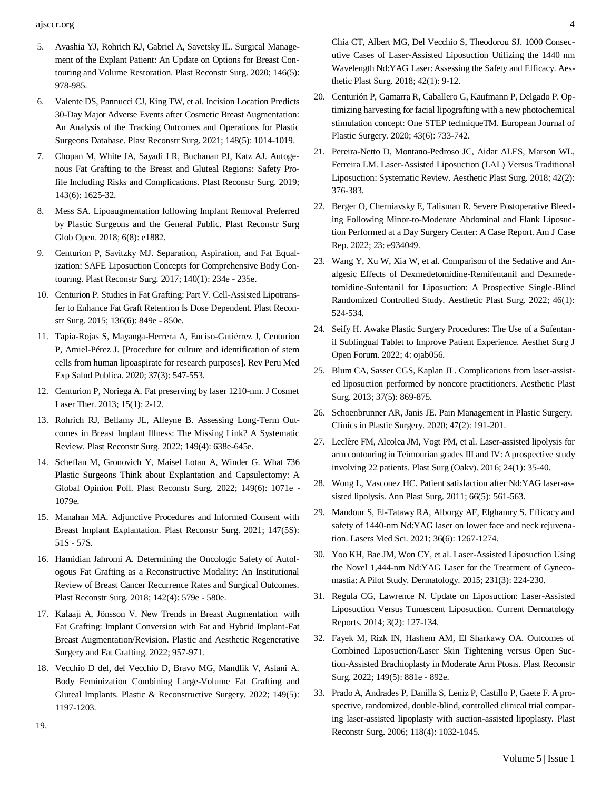ajsccr.org **4** 

- 5. [Avashia YJ, Rohrich RJ, Gabriel A, Savetsky IL. Surgical Manage](https://pubmed.ncbi.nlm.nih.gov/33136939/)[ment of the Explant Patient: An Update on Options for Breast Con](https://pubmed.ncbi.nlm.nih.gov/33136939/)touring and Volume [Restoration.](https://pubmed.ncbi.nlm.nih.gov/33136939/) Plast Reconstr Surg. 2020; 146(5): [978-985.](https://pubmed.ncbi.nlm.nih.gov/33136939/)
- 6. Valente DS, [Pannucci](https://pubmed.ncbi.nlm.nih.gov/34529591/) CJ, King TW, et al. Incision Location Predicts 30-Day Major Adverse Events after Cosmetic Breast [Augmentation:](https://pubmed.ncbi.nlm.nih.gov/34529591/) [An Analysis of the Tracking Outcomes and Operations for Plastic](https://pubmed.ncbi.nlm.nih.gov/34529591/) Surgeons Database. Plast Reconstr Surg. 2021; 148(5): [1014-1019.](https://pubmed.ncbi.nlm.nih.gov/34529591/)
- 7. [Chopan M, White JA, Sayadi LR, Buchanan PJ, Katz AJ. Autoge](https://pubmed.ncbi.nlm.nih.gov/31136476/)nous Fat Grafting to the Breast and Gluteal [Regions:](https://pubmed.ncbi.nlm.nih.gov/31136476/) Safety Pro[file Including Risks and Complications. Plast Reconstr Surg. 2019;](https://pubmed.ncbi.nlm.nih.gov/31136476/) [143\(6\): 1625-32.](https://pubmed.ncbi.nlm.nih.gov/31136476/)
- 8. [Mess SA. Lipoaugmentation following Implant Removal Preferred](https://pubmed.ncbi.nlm.nih.gov/30324064/) [by Plastic Surgeons and the General Public. Plast Reconstr Surg](https://pubmed.ncbi.nlm.nih.gov/30324064/) Glob Open. [2018; 6\(8\): e1882.](https://pubmed.ncbi.nlm.nih.gov/30324064/)
- 9. [Centurion P, Savitzky MJ. Separation, Aspiration, and Fat Equal](https://pubmed.ncbi.nlm.nih.gov/27879586/)ization: SAFE Liposuction Concepts for [Comprehensive](https://pubmed.ncbi.nlm.nih.gov/27879586/) Body Contouring. Plast Reconstr [Surg. 2017; 140\(1\):](https://pubmed.ncbi.nlm.nih.gov/27879586/) 234e - 235e.
- 10. Centurion P. Studies in Fat Grafting: Part V. [Cell-Assisted](https://pubmed.ncbi.nlm.nih.gov/25829158/) Lipotransfer to Enhance Fat Graft Retention Is Dose [Dependent.](https://pubmed.ncbi.nlm.nih.gov/25829158/) Plast Reconstr [Surg. 2015; 136\(6\): 849e -](https://pubmed.ncbi.nlm.nih.gov/25829158/) 850e.
- 11. [Tapia-Rojas S, Mayanga-Herrera A, Enciso-Gutiérrez J, Centurion](https://pubmed.ncbi.nlm.nih.gov/33295560/) [P, Amiel-Pérez J. \[Procedure for culture and identification of stem](https://pubmed.ncbi.nlm.nih.gov/33295560/) cells from human [lipoaspirate](https://pubmed.ncbi.nlm.nih.gov/33295560/) for research purposes]. Rev Peru Med Exp Salud Publica. [2020; 37\(3\):](https://pubmed.ncbi.nlm.nih.gov/33295560/) 547-553.
- 12. Centurion P, Noriega [A. Fat preserving by laser 1210-nm.](https://pubmed.ncbi.nlm.nih.gov/23368683/) J Cosmet Laser Ther. 2013; [15\(1\):](https://pubmed.ncbi.nlm.nih.gov/23368683/) 2-12.
- 13. [Rohrich RJ, Bellamy JL, Alleyne B. Assessing Long-Term Out](https://pubmed.ncbi.nlm.nih.gov/35103633/)[comes in Breast Implant Illness: The Missing Link? A Systematic](https://pubmed.ncbi.nlm.nih.gov/35103633/) Review. Plast Reconstr Surg. 2022; [149\(4\): 638e-645e.](https://pubmed.ncbi.nlm.nih.gov/35103633/)
- 14. [Scheflan M, Gronovich Y, Maisel Lotan A, Winder G. What 736](https://pubmed.ncbi.nlm.nih.gov/35349544/) [Plastic Surgeons Think about Explantation and Capsulectomy: A](https://pubmed.ncbi.nlm.nih.gov/35349544/) [Global Opinion Poll. Plast Reconstr Surg. 2022; 149\(6\): 1071e -](https://pubmed.ncbi.nlm.nih.gov/35349544/) [1079e.](https://pubmed.ncbi.nlm.nih.gov/35349544/)
- 15. [Manahan MA. Adjunctive Procedures and Informed Consent with](https://pubmed.ncbi.nlm.nih.gov/33890881/) [Breast Implant Explantation. Plast Reconstr Surg. 2021; 147\(5S\):](https://pubmed.ncbi.nlm.nih.gov/33890881/) [51S -](https://pubmed.ncbi.nlm.nih.gov/33890881/) 57S.
- 16. [Hamidian Jahromi A. Determining the Oncologic Safety of Autol](https://pubmed.ncbi.nlm.nih.gov/28841600/)[ogous Fat Grafting as a Reconstructive Modality: An Institutional](https://pubmed.ncbi.nlm.nih.gov/28841600/) [Review of Breast Cancer Recurrence Rates and Surgical Outcomes.](https://pubmed.ncbi.nlm.nih.gov/28841600/) Plast [Reconstr Surg. 2018; 142\(4\):](https://pubmed.ncbi.nlm.nih.gov/28841600/) 579e - 580e.
- 17. Kalaaji A, Jönsson V. New Trends in [Breast Augmentation](https://link.springer.com/content/pdf/10.1007/978-3-030-77455-4_64.pdf) with [Fat Grafting: Implant Conversion with Fat and Hybrid Implant-Fat](https://link.springer.com/content/pdf/10.1007/978-3-030-77455-4_64.pdf) [Breast Augmentation/Revision. Plastic and Aesthetic Regenerative](https://link.springer.com/content/pdf/10.1007/978-3-030-77455-4_64.pdf) Surgery and Fat Grafting. [2022; 957-971.](https://link.springer.com/content/pdf/10.1007/978-3-030-77455-4_64.pdf)
- 18. [Vecchio D del, del Vecchio D, Bravo MG, Mandlik V, Aslani A.](https://pubmed.ncbi.nlm.nih.gov/35311795/) Body Feminization Combining [Large-Volume](https://pubmed.ncbi.nlm.nih.gov/35311795/) Fat Grafting and [Gluteal Implants. Plastic & Reconstructive Surgery. 2022; 149\(5\):](https://pubmed.ncbi.nlm.nih.gov/35311795/) [1197-1203.](https://pubmed.ncbi.nlm.nih.gov/35311795/)

[Chia CT, Albert MG, Del Vecchio S, Theodorou SJ. 1000 Consec](https://pubmed.ncbi.nlm.nih.gov/28916849/)[utive Cases of Laser-Assisted Liposuction Utilizing the 1440 nm](https://pubmed.ncbi.nlm.nih.gov/28916849/) [Wavelength](https://pubmed.ncbi.nlm.nih.gov/28916849/) Nd:YAG Laser: Assessing the Safety and Efficacy. Aesthetic Plast [Surg. 2018; 42\(1\): 9-12.](https://pubmed.ncbi.nlm.nih.gov/28916849/)

- 20. Centurión P, Gamarra R, Caballero G, [Kaufmann](https://link.springer.com/article/10.1007/s00238-020-01643-x) P, Delgado P. Optimizing harvesting for facial lipografting with a new [photochemical](https://link.springer.com/article/10.1007/s00238-020-01643-x) [stimulation concept: One STEP techniqueTM. European Journal of](https://link.springer.com/article/10.1007/s00238-020-01643-x) Plastic Surgery. 2020; [43\(6\): 733-742.](https://link.springer.com/article/10.1007/s00238-020-01643-x)
- 21. [Pereira-Netto D, Montano-Pedroso JC, Aidar ALES, Marson WL,](https://pubmed.ncbi.nlm.nih.gov/29362943/) [Ferreira LM. Laser-Assisted Liposuction \(LAL\) Versus Traditional](https://pubmed.ncbi.nlm.nih.gov/29362943/) [Liposuction: Systematic Review. Aesthetic Plast Surg. 2018; 42\(2\):](https://pubmed.ncbi.nlm.nih.gov/29362943/) [376-383.](https://pubmed.ncbi.nlm.nih.gov/29362943/)
- 22. [Berger O, Cherniavsky E, Talisman R. Severe Postoperative Bleed](https://pubmed.ncbi.nlm.nih.gov/35121723/)[ing Following Minor-to-Moderate Abdominal and Flank Liposuc](https://pubmed.ncbi.nlm.nih.gov/35121723/)tion [Performed](https://pubmed.ncbi.nlm.nih.gov/35121723/) at a Day Surgery Center: A Case Report. Am J Case [Rep. 2022; 23: e934049.](https://pubmed.ncbi.nlm.nih.gov/35121723/)
- 23. [Wang Y, Xu W, Xia W, et al. Comparison of the Sedative and An](https://pubmed.ncbi.nlm.nih.gov/34499193/)[algesic Effects of Dexmedetomidine-Remifentanil and Dexmede](https://pubmed.ncbi.nlm.nih.gov/34499193/)[tomidine-Sufentanil for Liposuction: A Prospective Single-Blind](https://pubmed.ncbi.nlm.nih.gov/34499193/) [Randomized Controlled Study. Aesthetic Plast Surg. 2022; 46\(1\):](https://pubmed.ncbi.nlm.nih.gov/34499193/) [524-534.](https://pubmed.ncbi.nlm.nih.gov/34499193/)
- 24. [Seify H. Awake Plastic Surgery Procedures: The Use of a Sufentan](https://pubmed.ncbi.nlm.nih.gov/35350112/)[il Sublingual Tablet to Improve Patient Experience. Aesthet Surg J](https://pubmed.ncbi.nlm.nih.gov/35350112/) Open Forum. [2022; 4: ojab056.](https://pubmed.ncbi.nlm.nih.gov/35350112/)
- 25. Blum CA, Sasser CGS, Kaplan JL. [Complications](https://pubmed.ncbi.nlm.nih.gov/23860813/) from laser-assist[ed liposuction performed by noncore practitioners. Aesthetic Plast](https://pubmed.ncbi.nlm.nih.gov/23860813/) Surg. [2013; 37\(5\): 869-875.](https://pubmed.ncbi.nlm.nih.gov/23860813/)
- 26. [Schoenbrunner](https://pubmed.ncbi.nlm.nih.gov/32115046/) AR, Janis JE. Pain Management in Plastic Surgery. Clinics in Plastic Surgery. 2020; 47(2): [191-201.](https://pubmed.ncbi.nlm.nih.gov/32115046/)
- 27. Leclère FM, Alcolea JM, Vogt PM, et al. [Laser-assisted](https://pubmed.ncbi.nlm.nih.gov/27054137/) lipolysis for arm contouring in Teimourian grades III and IV: A prospective study involving 22 [patients. Plast](https://pubmed.ncbi.nlm.nih.gov/27054137/) Surg (Oakv). 2016; 24(1): 35-40.
- 28. Wong L, Vasconez HC. Patient [satisfaction](https://pubmed.ncbi.nlm.nih.gov/21451378/) after Nd:YAG laser-assisted lipolysis. [Ann Plast Surg. 2011; 66\(5\): 561-563.](https://pubmed.ncbi.nlm.nih.gov/21451378/)
- 29. [Mandour S, El-Tatawy RA, Alborgy AF, Elghamry S. Efficacy and](https://pubmed.ncbi.nlm.nih.gov/33141354/) [safety of 1440-nm Nd:YAG laser on lower face and neck rejuvena](https://pubmed.ncbi.nlm.nih.gov/33141354/)tion. Lasers Med Sci. [2021; 36\(6\): 1267-1274.](https://pubmed.ncbi.nlm.nih.gov/33141354/)
- 30. Yoo KH, Bae JM, Won CY, et al. [Laser-Assisted](https://pubmed.ncbi.nlm.nih.gov/26183712/) Liposuction Using [the Novel 1,444-nm Nd:YAG Laser for the Treatment of Gyneco](https://pubmed.ncbi.nlm.nih.gov/26183712/)mastia: A Pilot Study. [Dermatology.](https://pubmed.ncbi.nlm.nih.gov/26183712/) 2015; 231(3): 224-230.
- 31. [Regula CG, Lawrence N. Update on Liposuction: Laser-Assisted](https://journals.scholarsportal.info/details/21624933/v03i0002/127_uolllvtl.xml%26sub%3Dall) [Liposuction Versus Tumescent Liposuction. Current Dermatology](https://journals.scholarsportal.info/details/21624933/v03i0002/127_uolllvtl.xml%26sub%3Dall) [Reports. 2014; 3\(2\): 127-134.](https://journals.scholarsportal.info/details/21624933/v03i0002/127_uolllvtl.xml%26sub%3Dall)
- 32. [Fayek M, Rizk IN, Hashem AM, El Sharkawy OA. Outcomes of](https://pubmed.ncbi.nlm.nih.gov/35259140/) [Combined Liposuction/Laser Skin Tightening versus Open Suc](https://pubmed.ncbi.nlm.nih.gov/35259140/)[tion-Assisted Brachioplasty in Moderate Arm Ptosis. Plast Reconstr](https://pubmed.ncbi.nlm.nih.gov/35259140/) Surg. [2022; 149\(5\): 881e -](https://pubmed.ncbi.nlm.nih.gov/35259140/) 892e.
- 33. Prado A, Andrades [P, Danilla S, Leniz P, Castillo](https://pubmed.ncbi.nlm.nih.gov/16980867/) P, Gaete F. A prospective, randomized, [double-blind,](https://pubmed.ncbi.nlm.nih.gov/16980867/) controlled clinical trial compar[ing laser-assisted lipoplasty with suction-assisted lipoplasty. Plast](https://pubmed.ncbi.nlm.nih.gov/16980867/) Reconstr [Surg. 2006; 118\(4\):](https://pubmed.ncbi.nlm.nih.gov/16980867/) 1032-1045.